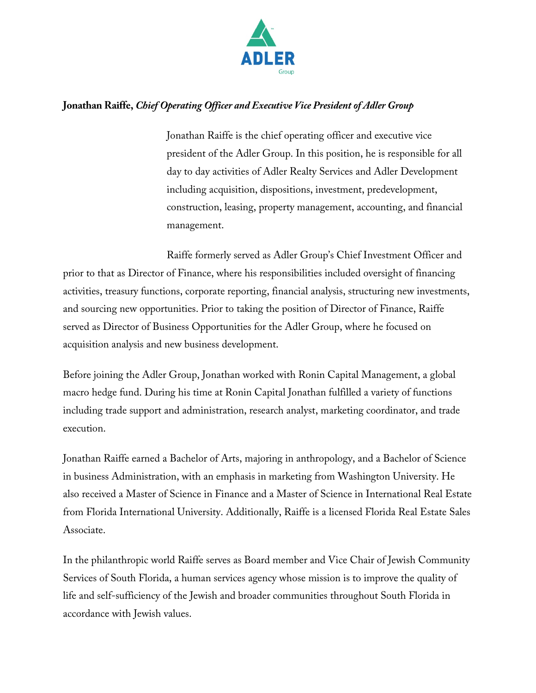

## **Jonathan Raiffe,** *Chief Operating Officer and Executive Vice President of Adler Group*

Jonathan Raiffe is the chief operating officer and executive vice president of the Adler Group. In this position, he is responsible for all day to day activities of Adler Realty Services and Adler Development including acquisition, dispositions, investment, predevelopment, construction, leasing, property management, accounting, and financial management.

Raiffe formerly served as Adler Group's Chief Investment Officer and prior to that as Director of Finance, where his responsibilities included oversight of financing activities, treasury functions, corporate reporting, financial analysis, structuring new investments, and sourcing new opportunities. Prior to taking the position of Director of Finance, Raiffe served as Director of Business Opportunities for the Adler Group, where he focused on acquisition analysis and new business development.

Before joining the Adler Group, Jonathan worked with Ronin Capital Management, a global macro hedge fund. During his time at Ronin Capital Jonathan fulfilled a variety of functions including trade support and administration, research analyst, marketing coordinator, and trade execution.

Jonathan Raiffe earned a Bachelor of Arts, majoring in anthropology, and a Bachelor of Science in business Administration, with an emphasis in marketing from Washington University. He also received a Master of Science in Finance and a Master of Science in International Real Estate from Florida International University. Additionally, Raiffe is a licensed Florida Real Estate Sales Associate.

In the philanthropic world Raiffe serves as Board member and Vice Chair of Jewish Community Services of South Florida, a human services agency whose mission is to improve the quality of life and self-sufficiency of the Jewish and broader communities throughout South Florida in accordance with Jewish values.